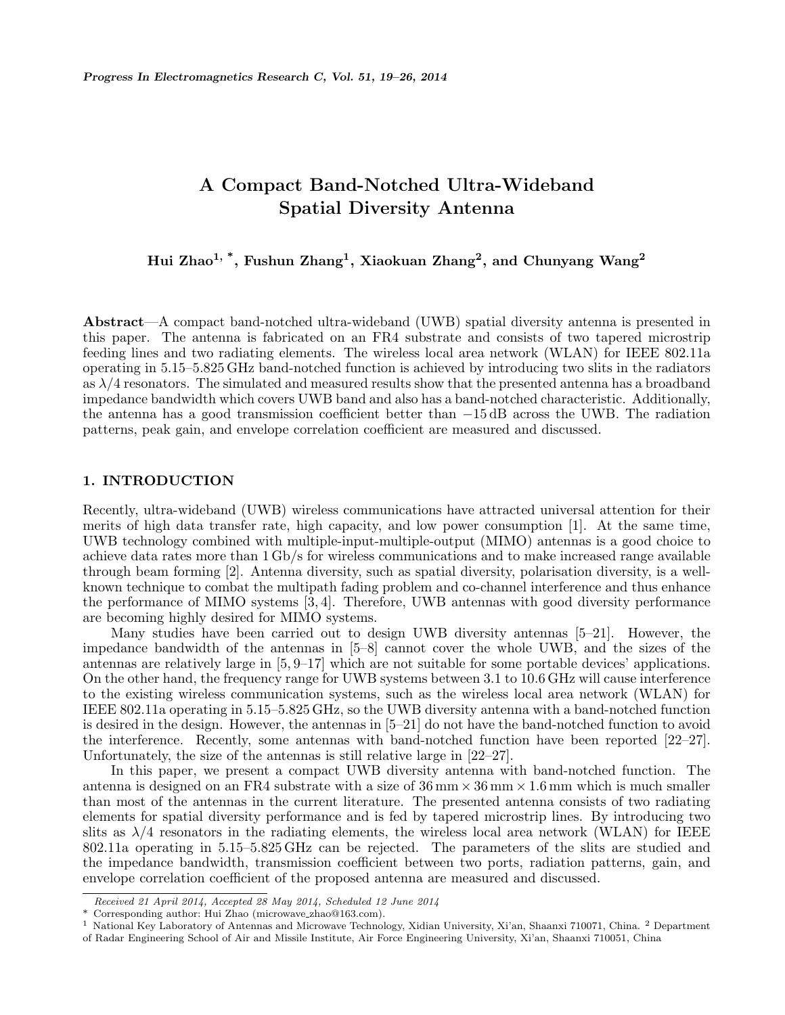# A Compact Band-Notched Ultra-Wideband Spatial Diversity Antenna

Hui Zhao $^{1, \, *}$ , Fushun Zhang $^{1}, \,$ Xiaokuan Zhang $^{2}, \,$ and Chunyang Wang $^{2}$ 

Abstract—A compact band-notched ultra-wideband (UWB) spatial diversity antenna is presented in this paper. The antenna is fabricated on an FR4 substrate and consists of two tapered microstrip feeding lines and two radiating elements. The wireless local area network (WLAN) for IEEE 802.11a operating in 5.15–5.825 GHz band-notched function is achieved by introducing two slits in the radiators as  $\lambda/4$  resonators. The simulated and measured results show that the presented antenna has a broadband impedance bandwidth which covers UWB band and also has a band-notched characteristic. Additionally, the antenna has a good transmission coefficient better than −15 dB across the UWB. The radiation patterns, peak gain, and envelope correlation coefficient are measured and discussed.

# 1. INTRODUCTION

Recently, ultra-wideband (UWB) wireless communications have attracted universal attention for their merits of high data transfer rate, high capacity, and low power consumption [1]. At the same time, UWB technology combined with multiple-input-multiple-output (MIMO) antennas is a good choice to achieve data rates more than 1 Gb/s for wireless communications and to make increased range available through beam forming [2]. Antenna diversity, such as spatial diversity, polarisation diversity, is a wellknown technique to combat the multipath fading problem and co-channel interference and thus enhance the performance of MIMO systems [3, 4]. Therefore, UWB antennas with good diversity performance are becoming highly desired for MIMO systems.

Many studies have been carried out to design UWB diversity antennas [5–21]. However, the impedance bandwidth of the antennas in [5–8] cannot cover the whole UWB, and the sizes of the antennas are relatively large in [5, 9–17] which are not suitable for some portable devices' applications. On the other hand, the frequency range for UWB systems between 3.1 to 10.6 GHz will cause interference to the existing wireless communication systems, such as the wireless local area network (WLAN) for IEEE 802.11a operating in 5.15–5.825 GHz, so the UWB diversity antenna with a band-notched function is desired in the design. However, the antennas in [5–21] do not have the band-notched function to avoid the interference. Recently, some antennas with band-notched function have been reported [22–27]. Unfortunately, the size of the antennas is still relative large in [22–27].

In this paper, we present a compact UWB diversity antenna with band-notched function. The antenna is designed on an FR4 substrate with a size of  $36 \text{ mm} \times 36 \text{ mm} \times 1.6 \text{ mm}$  which is much smaller than most of the antennas in the current literature. The presented antenna consists of two radiating elements for spatial diversity performance and is fed by tapered microstrip lines. By introducing two slits as  $\lambda/4$  resonators in the radiating elements, the wireless local area network (WLAN) for IEEE 802.11a operating in 5.15–5.825 GHz can be rejected. The parameters of the slits are studied and the impedance bandwidth, transmission coefficient between two ports, radiation patterns, gain, and envelope correlation coefficient of the proposed antenna are measured and discussed.

Received 21 April 2014, Accepted 28 May 2014, Scheduled 12 June 2014

Corresponding author: Hui Zhao (microwave zhao@163.com).

<sup>1</sup> National Key Laboratory of Antennas and Microwave Technology, Xidian University, Xi'an, Shaanxi 710071, China. <sup>2</sup> Department of Radar Engineering School of Air and Missile Institute, Air Force Engineering University, Xi'an, Shaanxi 710051, China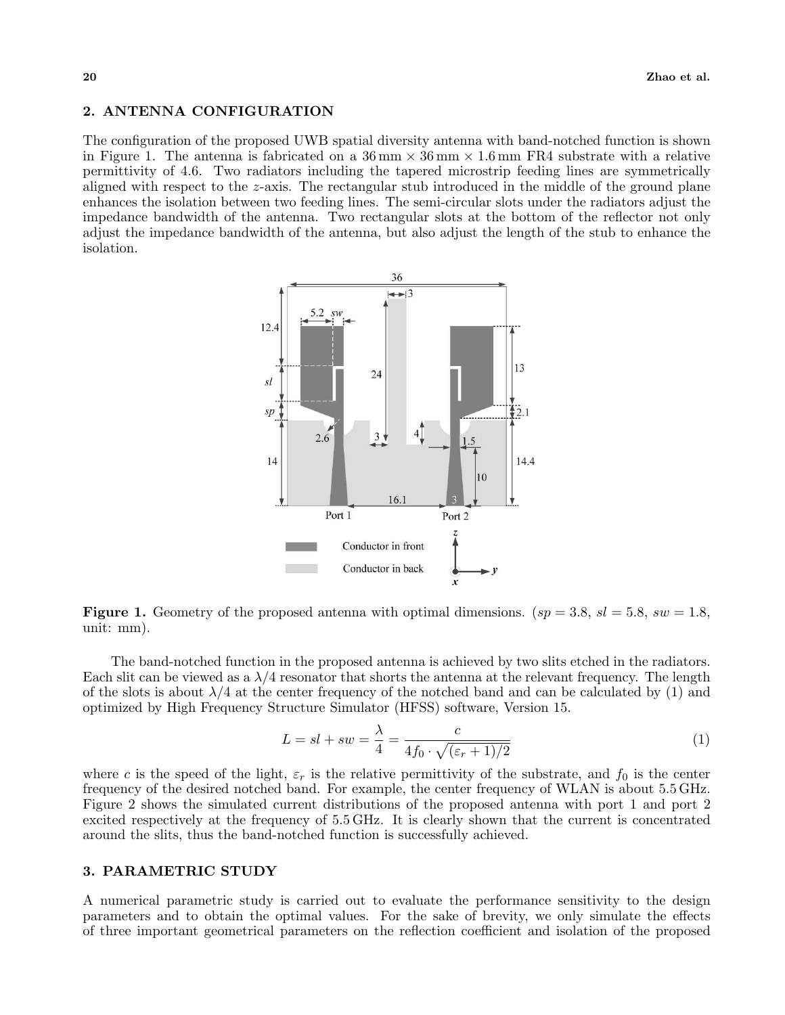### 2. ANTENNA CONFIGURATION

The configuration of the proposed UWB spatial diversity antenna with band-notched function is shown in Figure 1. The antenna is fabricated on a  $36 \text{ mm} \times 36 \text{ mm} \times 1.6 \text{ mm}$  FR4 substrate with a relative permittivity of 4.6. Two radiators including the tapered microstrip feeding lines are symmetrically aligned with respect to the z-axis. The rectangular stub introduced in the middle of the ground plane enhances the isolation between two feeding lines. The semi-circular slots under the radiators adjust the impedance bandwidth of the antenna. Two rectangular slots at the bottom of the reflector not only adjust the impedance bandwidth of the antenna, but also adjust the length of the stub to enhance the isolation.



**Figure 1.** Geometry of the proposed antenna with optimal dimensions.  $(sp = 3.8, sl = 5.8, sw = 1.8,$ unit: mm).

The band-notched function in the proposed antenna is achieved by two slits etched in the radiators. Each slit can be viewed as a  $\lambda/4$  resonator that shorts the antenna at the relevant frequency. The length of the slots is about  $\lambda/4$  at the center frequency of the notched band and can be calculated by (1) and optimized by High Frequency Structure Simulator (HFSS) software, Version 15.

$$
L = sl + sw = \frac{\lambda}{4} = \frac{c}{4f_0 \cdot \sqrt{(\varepsilon_r + 1)/2}}
$$
 (1)

where c is the speed of the light,  $\varepsilon_r$  is the relative permittivity of the substrate, and  $f_0$  is the center frequency of the desired notched band. For example, the center frequency of WLAN is about 5.5 GHz. Figure 2 shows the simulated current distributions of the proposed antenna with port 1 and port 2 excited respectively at the frequency of 5.5 GHz. It is clearly shown that the current is concentrated around the slits, thus the band-notched function is successfully achieved.

## 3. PARAMETRIC STUDY

A numerical parametric study is carried out to evaluate the performance sensitivity to the design parameters and to obtain the optimal values. For the sake of brevity, we only simulate the effects of three important geometrical parameters on the reflection coefficient and isolation of the proposed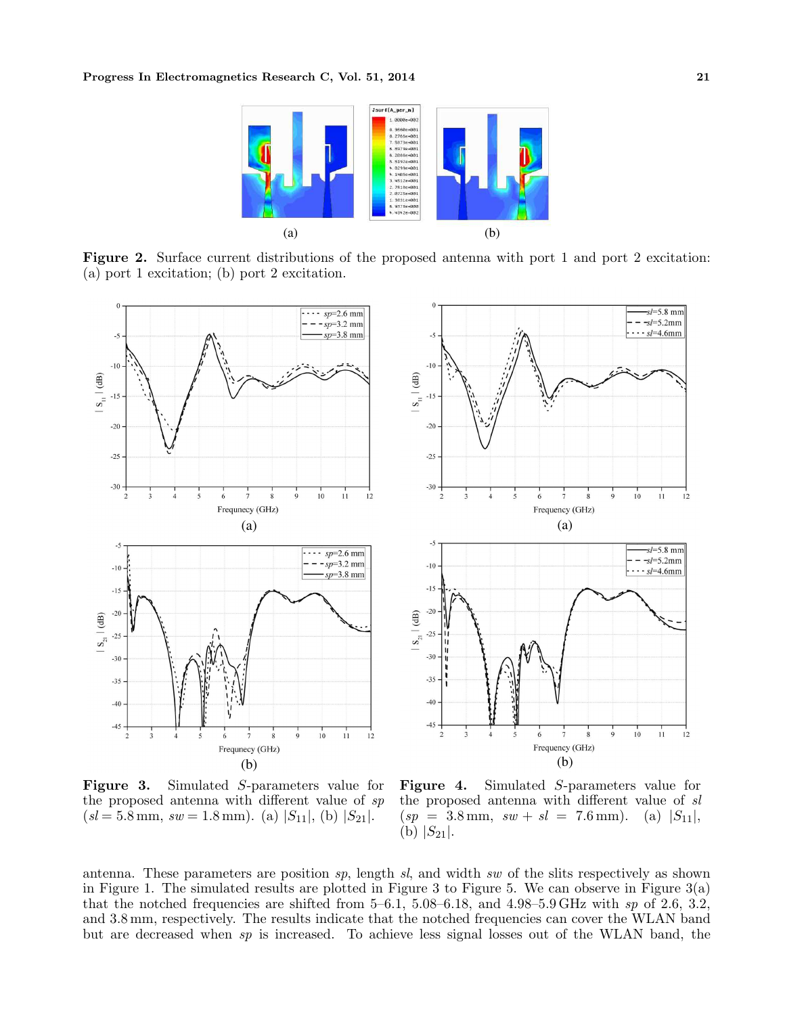

Figure 2. Surface current distributions of the proposed antenna with port 1 and port 2 excitation: (a) port 1 excitation; (b) port 2 excitation.



Figure 3. Simulated S-parameters value for the proposed antenna with different value of sp  $(s = 5.8 \text{ mm}, sw = 1.8 \text{ mm})$ . (a)  $|S_{11}|$ , (b)  $|S_{21}|$ .

Figure 4. Simulated S-parameters value for the proposed antenna with different value of sl  $(sp = 3.8 \text{ mm}, sw + sl = 7.6 \text{ mm}).$  (a)  $|S_{11}|$ , (b)  $|S_{21}|$ .

antenna. These parameters are position  $sp$ , length  $sl$ , and width  $sw$  of the slits respectively as shown in Figure 1. The simulated results are plotted in Figure 3 to Figure 5. We can observe in Figure 3(a) that the notched frequencies are shifted from  $5-6.1$ ,  $5.08-6.18$ , and  $4.98-5.9$  GHz with sp of 2.6, 3.2, and 3.8 mm, respectively. The results indicate that the notched frequencies can cover the WLAN band but are decreased when sp is increased. To achieve less signal losses out of the WLAN band, the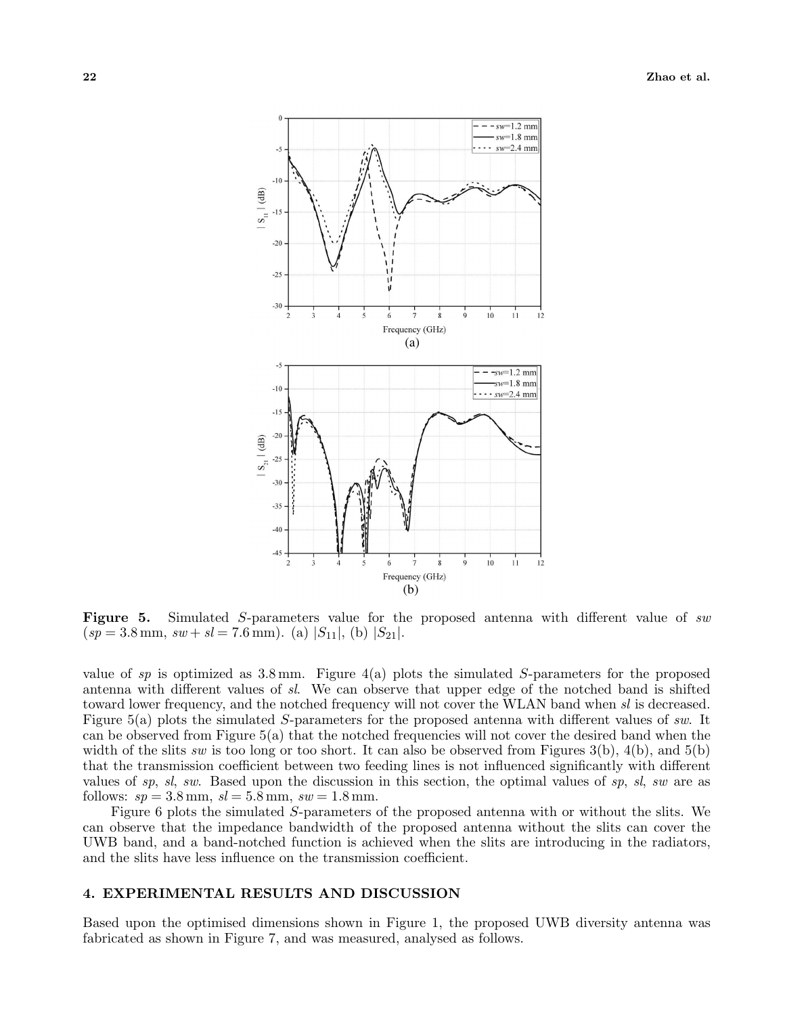

Figure 5. Simulated S-parameters value for the proposed antenna with different value of sw  $(sp = 3.8 \text{ mm}, sw + sl = 7.6 \text{ mm}).$  (a)  $|S_{11}|$ , (b)  $|S_{21}|$ .

value of sp is optimized as  $3.8 \,\mathrm{mm}$ . Figure  $4(a)$  plots the simulated S-parameters for the proposed antenna with different values of sl. We can observe that upper edge of the notched band is shifted toward lower frequency, and the notched frequency will not cover the WLAN band when sl is decreased. Figure 5(a) plots the simulated S-parameters for the proposed antenna with different values of sw. It can be observed from Figure 5(a) that the notched frequencies will not cover the desired band when the width of the slits sw is too long or too short. It can also be observed from Figures  $3(b)$ ,  $4(b)$ , and  $5(b)$ that the transmission coefficient between two feeding lines is not influenced significantly with different values of sp, sl, sw. Based upon the discussion in this section, the optimal values of sp, sl, sw are as follows:  $sp = 3.8$  mm,  $sl = 5.8$  mm,  $sw = 1.8$  mm.

Figure 6 plots the simulated S-parameters of the proposed antenna with or without the slits. We can observe that the impedance bandwidth of the proposed antenna without the slits can cover the UWB band, and a band-notched function is achieved when the slits are introducing in the radiators, and the slits have less influence on the transmission coefficient.

#### 4. EXPERIMENTAL RESULTS AND DISCUSSION

Based upon the optimised dimensions shown in Figure 1, the proposed UWB diversity antenna was fabricated as shown in Figure 7, and was measured, analysed as follows.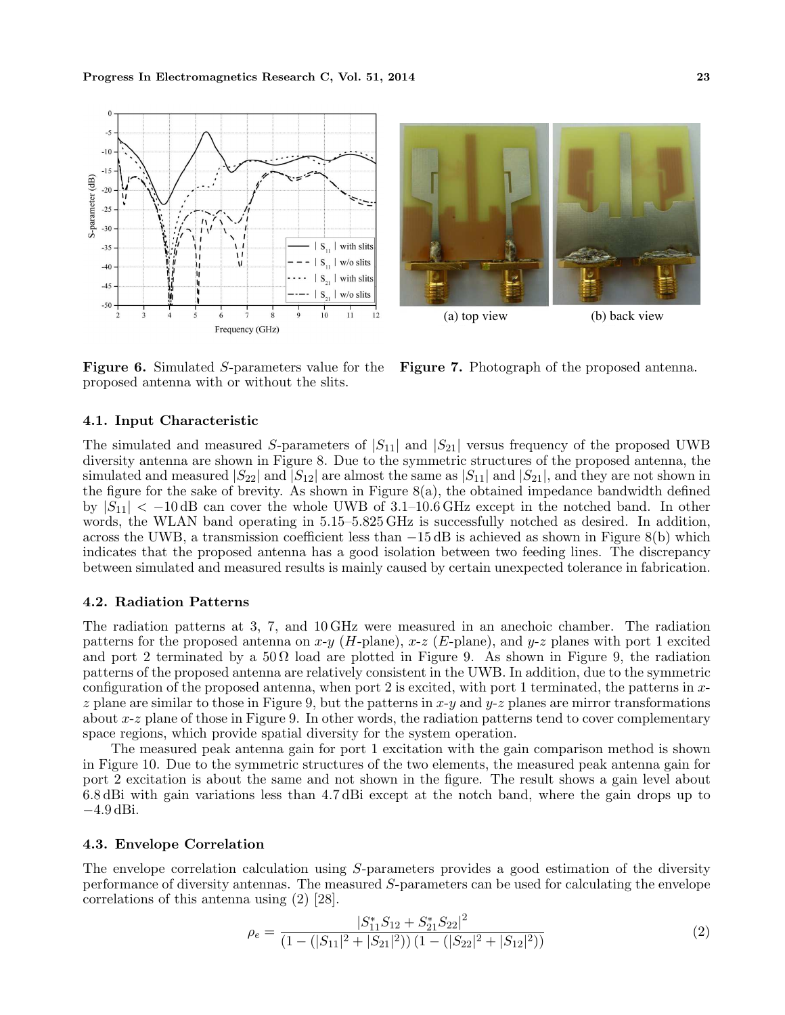

Figure 6. Simulated S-parameters value for the proposed antenna with or without the slits.

Figure 7. Photograph of the proposed antenna.

#### 4.1. Input Characteristic

The simulated and measured S-parameters of  $|S_{11}|$  and  $|S_{21}|$  versus frequency of the proposed UWB diversity antenna are shown in Figure 8. Due to the symmetric structures of the proposed antenna, the simulated and measured  $|S_{22}|$  and  $|S_{12}|$  are almost the same as  $|S_{11}|$  and  $|S_{21}|$ , and they are not shown in the figure for the sake of brevity. As shown in Figure  $8(a)$ , the obtained impedance bandwidth defined by  $|S_{11}| < -10$  dB can cover the whole UWB of 3.1–10.6 GHz except in the notched band. In other words, the WLAN band operating in 5.15–5.825 GHz is successfully notched as desired. In addition, across the UWB, a transmission coefficient less than −15 dB is achieved as shown in Figure 8(b) which indicates that the proposed antenna has a good isolation between two feeding lines. The discrepancy between simulated and measured results is mainly caused by certain unexpected tolerance in fabrication.

### 4.2. Radiation Patterns

The radiation patterns at 3, 7, and 10 GHz were measured in an anechoic chamber. The radiation patterns for the proposed antenna on  $x-y$  (H-plane),  $x-z$  (E-plane), and  $y-z$  planes with port 1 excited and port 2 terminated by a  $50 \Omega$  load are plotted in Figure 9. As shown in Figure 9, the radiation patterns of the proposed antenna are relatively consistent in the UWB. In addition, due to the symmetric configuration of the proposed antenna, when port 2 is excited, with port 1 terminated, the patterns in xz plane are similar to those in Figure 9, but the patterns in  $x-y$  and  $y-z$  planes are mirror transformations about  $x-z$  plane of those in Figure 9. In other words, the radiation patterns tend to cover complementary space regions, which provide spatial diversity for the system operation.

The measured peak antenna gain for port 1 excitation with the gain comparison method is shown in Figure 10. Due to the symmetric structures of the two elements, the measured peak antenna gain for port 2 excitation is about the same and not shown in the figure. The result shows a gain level about 6.8 dBi with gain variations less than 4.7 dBi except at the notch band, where the gain drops up to −4.9 dBi.

# 4.3. Envelope Correlation

The envelope correlation calculation using S-parameters provides a good estimation of the diversity performance of diversity antennas. The measured S-parameters can be used for calculating the envelope correlations of this antenna using (2) [28].

$$
\rho_e = \frac{|S_{11}^* S_{12} + S_{21}^* S_{22}|^2}{\left(1 - (|S_{11}|^2 + |S_{21}|^2)\right)\left(1 - (|S_{22}|^2 + |S_{12}|^2)\right)}\tag{2}
$$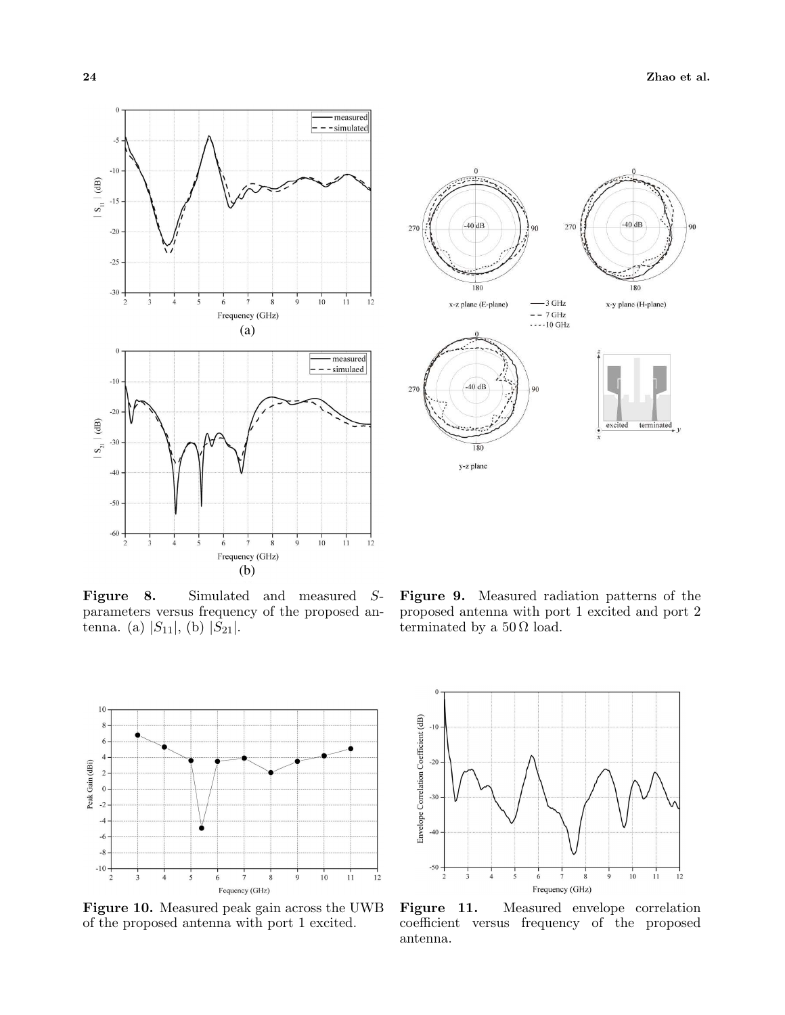90

180

terminated



Figure 8. Simulated and measured Sparameters versus frequency of the proposed antenna. (a)  $|S_{11}|$ , (b)  $|S_{21}|$ .





Figure 10. Measured peak gain across the UWB of the proposed antenna with port 1 excited.



Figure 11. Measured envelope correlation coefficient versus frequency of the proposed antenna.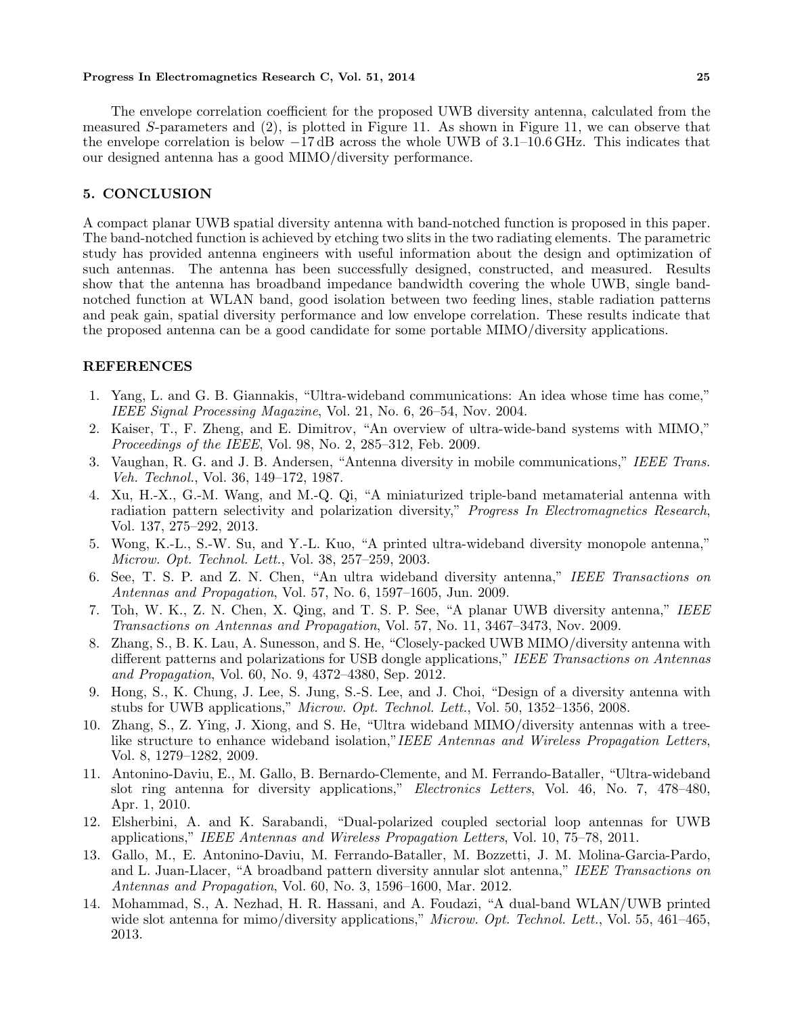#### Progress In Electromagnetics Research C, Vol. 51, 2014 25

The envelope correlation coefficient for the proposed UWB diversity antenna, calculated from the measured S-parameters and (2), is plotted in Figure 11. As shown in Figure 11, we can observe that the envelope correlation is below −17 dB across the whole UWB of 3.1–10.6 GHz. This indicates that our designed antenna has a good MIMO/diversity performance.

# 5. CONCLUSION

A compact planar UWB spatial diversity antenna with band-notched function is proposed in this paper. The band-notched function is achieved by etching two slits in the two radiating elements. The parametric study has provided antenna engineers with useful information about the design and optimization of such antennas. The antenna has been successfully designed, constructed, and measured. Results show that the antenna has broadband impedance bandwidth covering the whole UWB, single bandnotched function at WLAN band, good isolation between two feeding lines, stable radiation patterns and peak gain, spatial diversity performance and low envelope correlation. These results indicate that the proposed antenna can be a good candidate for some portable MIMO/diversity applications.

# REFERENCES

- 1. Yang, L. and G. B. Giannakis, "Ultra-wideband communications: An idea whose time has come," IEEE Signal Processing Magazine, Vol. 21, No. 6, 26–54, Nov. 2004.
- 2. Kaiser, T., F. Zheng, and E. Dimitrov, "An overview of ultra-wide-band systems with MIMO," Proceedings of the IEEE, Vol. 98, No. 2, 285–312, Feb. 2009.
- 3. Vaughan, R. G. and J. B. Andersen, "Antenna diversity in mobile communications," IEEE Trans. Veh. Technol., Vol. 36, 149–172, 1987.
- 4. Xu, H.-X., G.-M. Wang, and M.-Q. Qi, "A miniaturized triple-band metamaterial antenna with radiation pattern selectivity and polarization diversity," Progress In Electromagnetics Research, Vol. 137, 275–292, 2013.
- 5. Wong, K.-L., S.-W. Su, and Y.-L. Kuo, "A printed ultra-wideband diversity monopole antenna," Microw. Opt. Technol. Lett., Vol. 38, 257–259, 2003.
- 6. See, T. S. P. and Z. N. Chen, "An ultra wideband diversity antenna," IEEE Transactions on Antennas and Propagation, Vol. 57, No. 6, 1597–1605, Jun. 2009.
- 7. Toh, W. K., Z. N. Chen, X. Qing, and T. S. P. See, "A planar UWB diversity antenna," IEEE Transactions on Antennas and Propagation, Vol. 57, No. 11, 3467–3473, Nov. 2009.
- 8. Zhang, S., B. K. Lau, A. Sunesson, and S. He, "Closely-packed UWB MIMO/diversity antenna with different patterns and polarizations for USB dongle applications," IEEE Transactions on Antennas and Propagation, Vol. 60, No. 9, 4372–4380, Sep. 2012.
- 9. Hong, S., K. Chung, J. Lee, S. Jung, S.-S. Lee, and J. Choi, "Design of a diversity antenna with stubs for UWB applications," Microw. Opt. Technol. Lett., Vol. 50, 1352–1356, 2008.
- 10. Zhang, S., Z. Ying, J. Xiong, and S. He, "Ultra wideband MIMO/diversity antennas with a treelike structure to enhance wideband isolation,"IEEE Antennas and Wireless Propagation Letters, Vol. 8, 1279–1282, 2009.
- 11. Antonino-Daviu, E., M. Gallo, B. Bernardo-Clemente, and M. Ferrando-Bataller, "Ultra-wideband slot ring antenna for diversity applications," Electronics Letters, Vol. 46, No. 7, 478–480, Apr. 1, 2010.
- 12. Elsherbini, A. and K. Sarabandi, "Dual-polarized coupled sectorial loop antennas for UWB applications," IEEE Antennas and Wireless Propagation Letters, Vol. 10, 75–78, 2011.
- 13. Gallo, M., E. Antonino-Daviu, M. Ferrando-Bataller, M. Bozzetti, J. M. Molina-Garcia-Pardo, and L. Juan-Llacer, "A broadband pattern diversity annular slot antenna," IEEE Transactions on Antennas and Propagation, Vol. 60, No. 3, 1596–1600, Mar. 2012.
- 14. Mohammad, S., A. Nezhad, H. R. Hassani, and A. Foudazi, "A dual-band WLAN/UWB printed wide slot antenna for mimo/diversity applications," Microw. Opt. Technol. Lett., Vol. 55, 461–465, 2013.